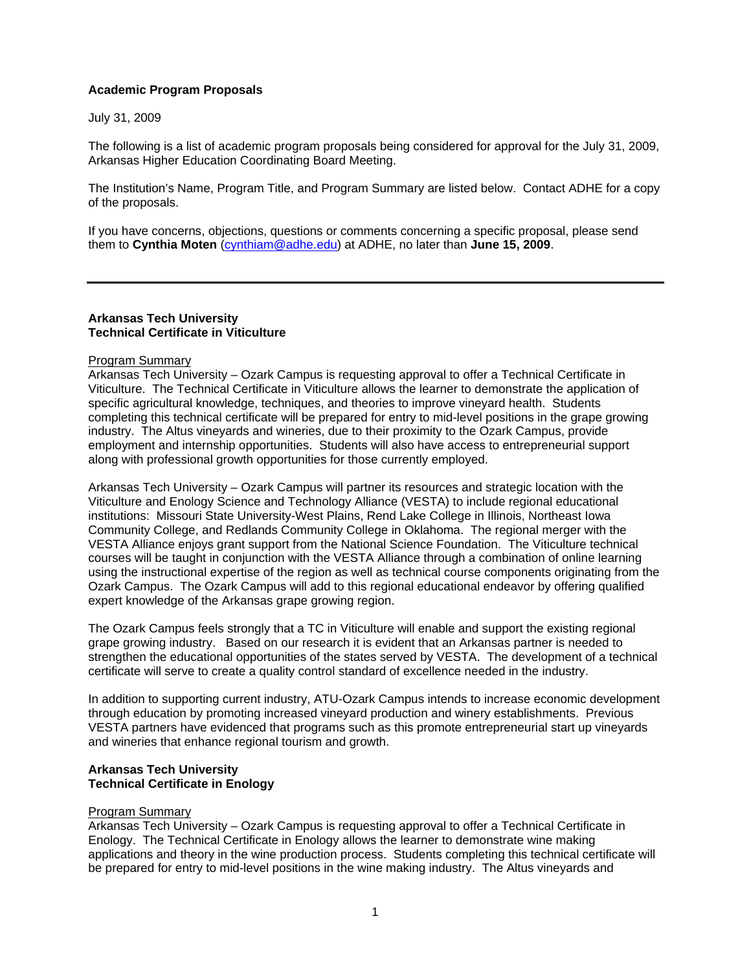## **Academic Program Proposals**

July 31, 2009

The following is a list of academic program proposals being considered for approval for the July 31, 2009, Arkansas Higher Education Coordinating Board Meeting.

The Institution's Name, Program Title, and Program Summary are listed below. Contact ADHE for a copy of the proposals.

If you have concerns, objections, questions or comments concerning a specific proposal, please send them to **Cynthia Moten** [\(cynthiam@adhe.edu\)](mailto:cynthiam@adhe.edu) at ADHE, no later than **June 15, 2009**.

### **Arkansas Tech University Technical Certificate in Viticulture**

#### Program Summary

Arkansas Tech University – Ozark Campus is requesting approval to offer a Technical Certificate in Viticulture. The Technical Certificate in Viticulture allows the learner to demonstrate the application of specific agricultural knowledge, techniques, and theories to improve vineyard health. Students completing this technical certificate will be prepared for entry to mid-level positions in the grape growing industry. The Altus vineyards and wineries, due to their proximity to the Ozark Campus, provide employment and internship opportunities. Students will also have access to entrepreneurial support along with professional growth opportunities for those currently employed.

Arkansas Tech University – Ozark Campus will partner its resources and strategic location with the Viticulture and Enology Science and Technology Alliance (VESTA) to include regional educational institutions: Missouri State University-West Plains, Rend Lake College in Illinois, Northeast Iowa Community College, and Redlands Community College in Oklahoma. The regional merger with the VESTA Alliance enjoys grant support from the National Science Foundation. The Viticulture technical courses will be taught in conjunction with the VESTA Alliance through a combination of online learning using the instructional expertise of the region as well as technical course components originating from the Ozark Campus. The Ozark Campus will add to this regional educational endeavor by offering qualified expert knowledge of the Arkansas grape growing region.

The Ozark Campus feels strongly that a TC in Viticulture will enable and support the existing regional grape growing industry. Based on our research it is evident that an Arkansas partner is needed to strengthen the educational opportunities of the states served by VESTA. The development of a technical certificate will serve to create a quality control standard of excellence needed in the industry.

In addition to supporting current industry, ATU-Ozark Campus intends to increase economic development through education by promoting increased vineyard production and winery establishments. Previous VESTA partners have evidenced that programs such as this promote entrepreneurial start up vineyards and wineries that enhance regional tourism and growth.

### **Arkansas Tech University Technical Certificate in Enology**

#### Program Summary

Arkansas Tech University – Ozark Campus is requesting approval to offer a Technical Certificate in Enology. The Technical Certificate in Enology allows the learner to demonstrate wine making applications and theory in the wine production process. Students completing this technical certificate will be prepared for entry to mid-level positions in the wine making industry. The Altus vineyards and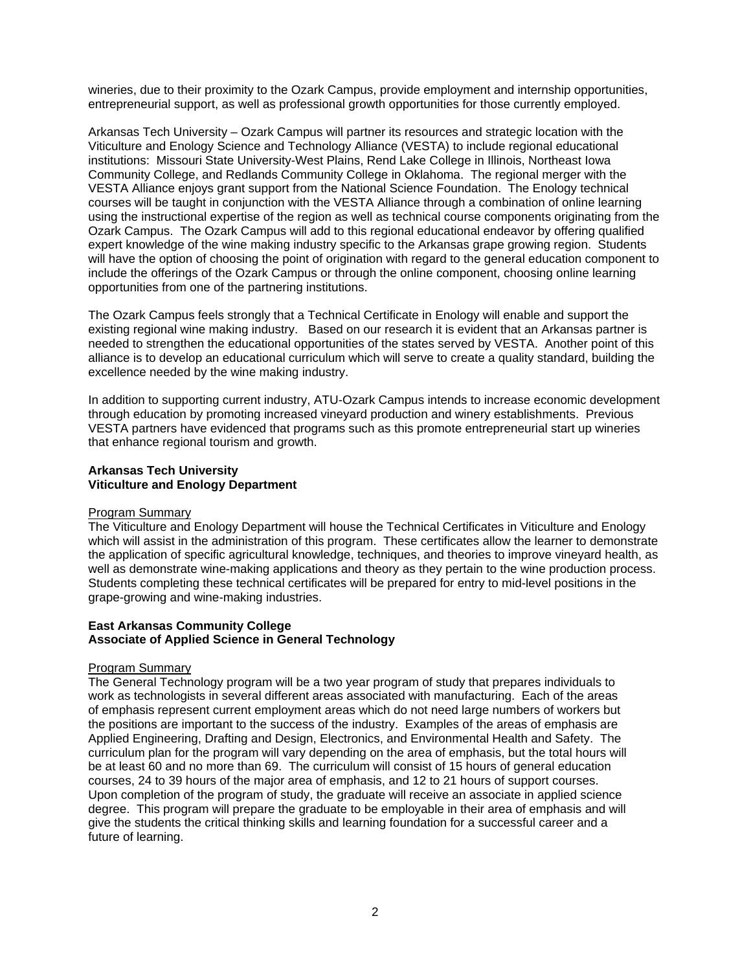wineries, due to their proximity to the Ozark Campus, provide employment and internship opportunities, entrepreneurial support, as well as professional growth opportunities for those currently employed.

Arkansas Tech University – Ozark Campus will partner its resources and strategic location with the Viticulture and Enology Science and Technology Alliance (VESTA) to include regional educational institutions: Missouri State University-West Plains, Rend Lake College in Illinois, Northeast Iowa Community College, and Redlands Community College in Oklahoma. The regional merger with the VESTA Alliance enjoys grant support from the National Science Foundation. The Enology technical courses will be taught in conjunction with the VESTA Alliance through a combination of online learning using the instructional expertise of the region as well as technical course components originating from the Ozark Campus. The Ozark Campus will add to this regional educational endeavor by offering qualified expert knowledge of the wine making industry specific to the Arkansas grape growing region. Students will have the option of choosing the point of origination with regard to the general education component to include the offerings of the Ozark Campus or through the online component, choosing online learning opportunities from one of the partnering institutions.

The Ozark Campus feels strongly that a Technical Certificate in Enology will enable and support the existing regional wine making industry. Based on our research it is evident that an Arkansas partner is needed to strengthen the educational opportunities of the states served by VESTA. Another point of this alliance is to develop an educational curriculum which will serve to create a quality standard, building the excellence needed by the wine making industry.

In addition to supporting current industry, ATU-Ozark Campus intends to increase economic development through education by promoting increased vineyard production and winery establishments. Previous VESTA partners have evidenced that programs such as this promote entrepreneurial start up wineries that enhance regional tourism and growth.

# **Arkansas Tech University Viticulture and Enology Department**

## Program Summary

The Viticulture and Enology Department will house the Technical Certificates in Viticulture and Enology which will assist in the administration of this program. These certificates allow the learner to demonstrate the application of specific agricultural knowledge, techniques, and theories to improve vineyard health, as well as demonstrate wine-making applications and theory as they pertain to the wine production process. Students completing these technical certificates will be prepared for entry to mid-level positions in the grape-growing and wine-making industries.

### **East Arkansas Community College Associate of Applied Science in General Technology**

# Program Summary

The General Technology program will be a two year program of study that prepares individuals to work as technologists in several different areas associated with manufacturing. Each of the areas of emphasis represent current employment areas which do not need large numbers of workers but the positions are important to the success of the industry. Examples of the areas of emphasis are Applied Engineering, Drafting and Design, Electronics, and Environmental Health and Safety. The curriculum plan for the program will vary depending on the area of emphasis, but the total hours will be at least 60 and no more than 69. The curriculum will consist of 15 hours of general education courses, 24 to 39 hours of the major area of emphasis, and 12 to 21 hours of support courses. Upon completion of the program of study, the graduate will receive an associate in applied science degree. This program will prepare the graduate to be employable in their area of emphasis and will give the students the critical thinking skills and learning foundation for a successful career and a future of learning.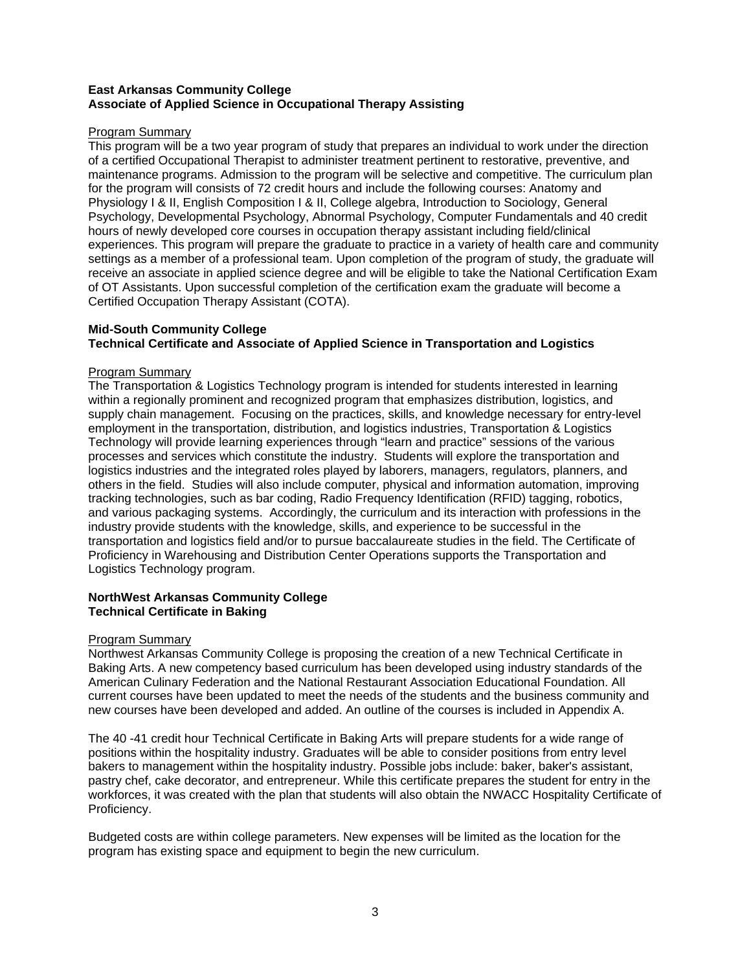# **East Arkansas Community College Associate of Applied Science in Occupational Therapy Assisting**

# Program Summary

This program will be a two year program of study that prepares an individual to work under the direction of a certified Occupational Therapist to administer treatment pertinent to restorative, preventive, and maintenance programs. Admission to the program will be selective and competitive. The curriculum plan for the program will consists of 72 credit hours and include the following courses: Anatomy and Physiology I & II, English Composition I & II, College algebra, Introduction to Sociology, General Psychology, Developmental Psychology, Abnormal Psychology, Computer Fundamentals and 40 credit hours of newly developed core courses in occupation therapy assistant including field/clinical experiences. This program will prepare the graduate to practice in a variety of health care and community settings as a member of a professional team. Upon completion of the program of study, the graduate will receive an associate in applied science degree and will be eligible to take the National Certification Exam of OT Assistants. Upon successful completion of the certification exam the graduate will become a Certified Occupation Therapy Assistant (COTA).

# **Mid-South Community College Technical Certificate and Associate of Applied Science in Transportation and Logistics**

## Program Summary

The Transportation & Logistics Technology program is intended for students interested in learning within a regionally prominent and recognized program that emphasizes distribution, logistics, and supply chain management. Focusing on the practices, skills, and knowledge necessary for entry-level employment in the transportation, distribution, and logistics industries, Transportation & Logistics Technology will provide learning experiences through "learn and practice" sessions of the various processes and services which constitute the industry. Students will explore the transportation and logistics industries and the integrated roles played by laborers, managers, regulators, planners, and others in the field. Studies will also include computer, physical and information automation, improving tracking technologies, such as bar coding, Radio Frequency Identification (RFID) tagging, robotics, and various packaging systems. Accordingly, the curriculum and its interaction with professions in the industry provide students with the knowledge, skills, and experience to be successful in the transportation and logistics field and/or to pursue baccalaureate studies in the field. The Certificate of Proficiency in Warehousing and Distribution Center Operations supports the Transportation and Logistics Technology program.

# **NorthWest Arkansas Community College Technical Certificate in Baking**

## Program Summary

Northwest Arkansas Community College is proposing the creation of a new Technical Certificate in Baking Arts. A new competency based curriculum has been developed using industry standards of the American Culinary Federation and the National Restaurant Association Educational Foundation. All current courses have been updated to meet the needs of the students and the business community and new courses have been developed and added. An outline of the courses is included in Appendix A.

The 40 -41 credit hour Technical Certificate in Baking Arts will prepare students for a wide range of positions within the hospitality industry. Graduates will be able to consider positions from entry level bakers to management within the hospitality industry. Possible jobs include: baker, baker's assistant, pastry chef, cake decorator, and entrepreneur. While this certificate prepares the student for entry in the workforces, it was created with the plan that students will also obtain the NWACC Hospitality Certificate of Proficiency.

Budgeted costs are within college parameters. New expenses will be limited as the location for the program has existing space and equipment to begin the new curriculum.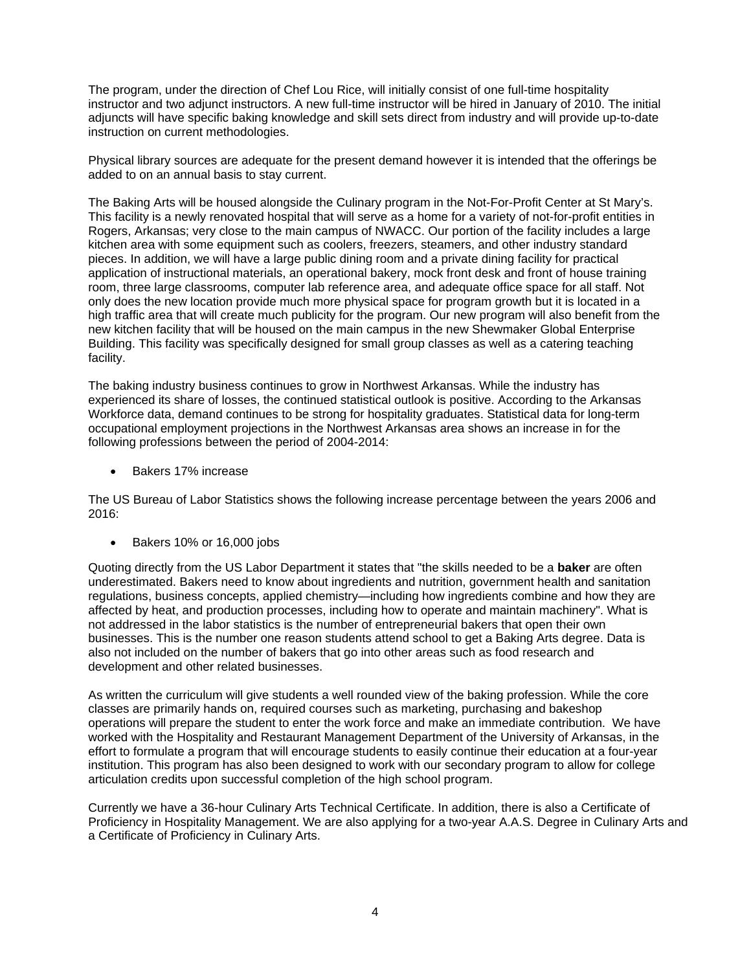The program, under the direction of Chef Lou Rice, will initially consist of one full-time hospitality instructor and two adjunct instructors. A new full-time instructor will be hired in January of 2010. The initial adjuncts will have specific baking knowledge and skill sets direct from industry and will provide up-to-date instruction on current methodologies.

Physical library sources are adequate for the present demand however it is intended that the offerings be added to on an annual basis to stay current.

The Baking Arts will be housed alongside the Culinary program in the Not-For-Profit Center at St Mary's. This facility is a newly renovated hospital that will serve as a home for a variety of not-for-profit entities in Rogers, Arkansas; very close to the main campus of NWACC. Our portion of the facility includes a large kitchen area with some equipment such as coolers, freezers, steamers, and other industry standard pieces. In addition, we will have a large public dining room and a private dining facility for practical application of instructional materials, an operational bakery, mock front desk and front of house training room, three large classrooms, computer lab reference area, and adequate office space for all staff. Not only does the new location provide much more physical space for program growth but it is located in a high traffic area that will create much publicity for the program. Our new program will also benefit from the new kitchen facility that will be housed on the main campus in the new Shewmaker Global Enterprise Building. This facility was specifically designed for small group classes as well as a catering teaching facility.

The baking industry business continues to grow in Northwest Arkansas. While the industry has experienced its share of losses, the continued statistical outlook is positive. According to the Arkansas Workforce data, demand continues to be strong for hospitality graduates. Statistical data for long-term occupational employment projections in the Northwest Arkansas area shows an increase in for the following professions between the period of 2004-2014:

Bakers 17% increase

The US Bureau of Labor Statistics shows the following increase percentage between the years 2006 and 2016:

Bakers 10% or 16,000 jobs

Quoting directly from the US Labor Department it states that "the skills needed to be a **baker** are often underestimated. Bakers need to know about ingredients and nutrition, government health and sanitation regulations, business concepts, applied chemistry—including how ingredients combine and how they are affected by heat, and production processes, including how to operate and maintain machinery". What is not addressed in the labor statistics is the number of entrepreneurial bakers that open their own businesses. This is the number one reason students attend school to get a Baking Arts degree. Data is also not included on the number of bakers that go into other areas such as food research and development and other related businesses.

As written the curriculum will give students a well rounded view of the baking profession. While the core classes are primarily hands on, required courses such as marketing, purchasing and bakeshop operations will prepare the student to enter the work force and make an immediate contribution. We have worked with the Hospitality and Restaurant Management Department of the University of Arkansas, in the effort to formulate a program that will encourage students to easily continue their education at a four-year institution. This program has also been designed to work with our secondary program to allow for college articulation credits upon successful completion of the high school program.

Currently we have a 36-hour Culinary Arts Technical Certificate. In addition, there is also a Certificate of Proficiency in Hospitality Management. We are also applying for a two-year A.A.S. Degree in Culinary Arts and a Certificate of Proficiency in Culinary Arts.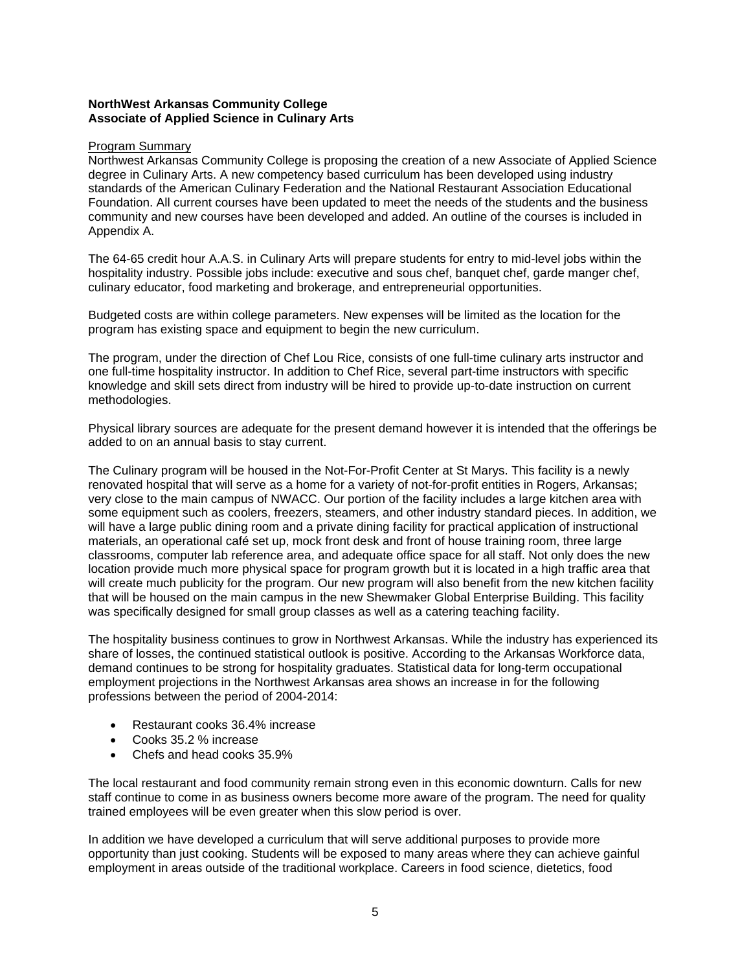# **NorthWest Arkansas Community College Associate of Applied Science in Culinary Arts**

### Program Summary

Northwest Arkansas Community College is proposing the creation of a new Associate of Applied Science degree in Culinary Arts. A new competency based curriculum has been developed using industry standards of the American Culinary Federation and the National Restaurant Association Educational Foundation. All current courses have been updated to meet the needs of the students and the business community and new courses have been developed and added. An outline of the courses is included in Appendix A.

The 64-65 credit hour A.A.S. in Culinary Arts will prepare students for entry to mid-level jobs within the hospitality industry. Possible jobs include: executive and sous chef, banquet chef, garde manger chef, culinary educator, food marketing and brokerage, and entrepreneurial opportunities.

Budgeted costs are within college parameters. New expenses will be limited as the location for the program has existing space and equipment to begin the new curriculum.

The program, under the direction of Chef Lou Rice, consists of one full-time culinary arts instructor and one full-time hospitality instructor. In addition to Chef Rice, several part-time instructors with specific knowledge and skill sets direct from industry will be hired to provide up-to-date instruction on current methodologies.

Physical library sources are adequate for the present demand however it is intended that the offerings be added to on an annual basis to stay current.

The Culinary program will be housed in the Not-For-Profit Center at St Marys. This facility is a newly renovated hospital that will serve as a home for a variety of not-for-profit entities in Rogers, Arkansas; very close to the main campus of NWACC. Our portion of the facility includes a large kitchen area with some equipment such as coolers, freezers, steamers, and other industry standard pieces. In addition, we will have a large public dining room and a private dining facility for practical application of instructional materials, an operational café set up, mock front desk and front of house training room, three large classrooms, computer lab reference area, and adequate office space for all staff. Not only does the new location provide much more physical space for program growth but it is located in a high traffic area that will create much publicity for the program. Our new program will also benefit from the new kitchen facility that will be housed on the main campus in the new Shewmaker Global Enterprise Building. This facility was specifically designed for small group classes as well as a catering teaching facility.

The hospitality business continues to grow in Northwest Arkansas. While the industry has experienced its share of losses, the continued statistical outlook is positive. According to the Arkansas Workforce data, demand continues to be strong for hospitality graduates. Statistical data for long-term occupational employment projections in the Northwest Arkansas area shows an increase in for the following professions between the period of 2004-2014:

- Restaurant cooks 36.4% increase
- Cooks 35.2 % increase
- Chefs and head cooks 35.9%

The local restaurant and food community remain strong even in this economic downturn. Calls for new staff continue to come in as business owners become more aware of the program. The need for quality trained employees will be even greater when this slow period is over.

In addition we have developed a curriculum that will serve additional purposes to provide more opportunity than just cooking. Students will be exposed to many areas where they can achieve gainful employment in areas outside of the traditional workplace. Careers in food science, dietetics, food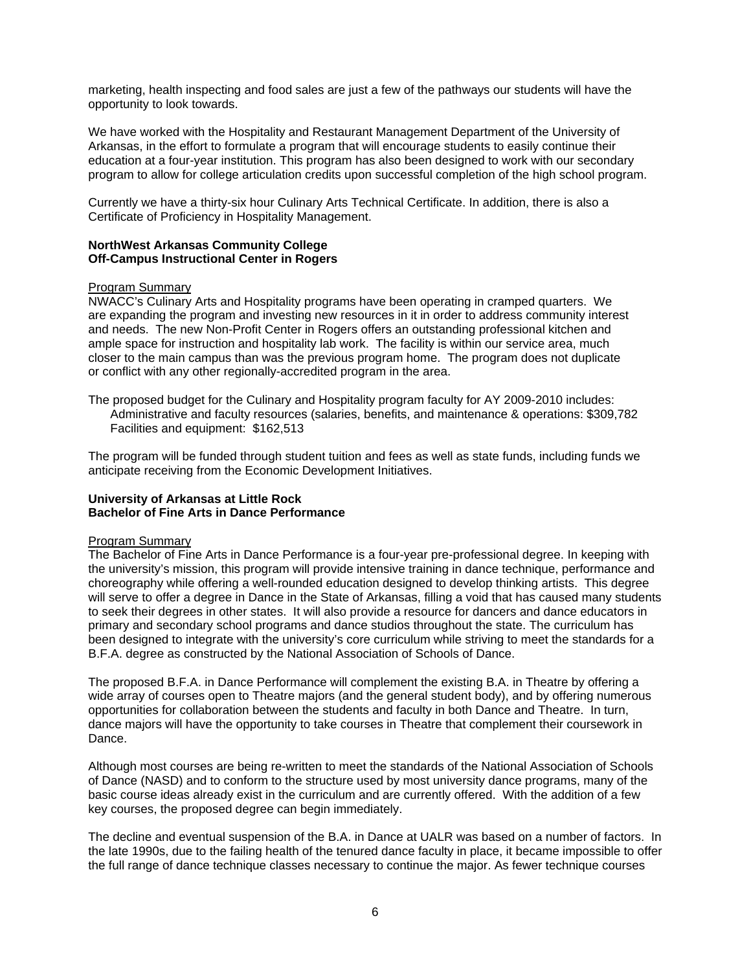marketing, health inspecting and food sales are just a few of the pathways our students will have the opportunity to look towards.

We have worked with the Hospitality and Restaurant Management Department of the University of Arkansas, in the effort to formulate a program that will encourage students to easily continue their education at a four-year institution. This program has also been designed to work with our secondary program to allow for college articulation credits upon successful completion of the high school program.

Currently we have a thirty-six hour Culinary Arts Technical Certificate. In addition, there is also a Certificate of Proficiency in Hospitality Management.

### **NorthWest Arkansas Community College Off-Campus Instructional Center in Rogers**

### Program Summary

NWACC's Culinary Arts and Hospitality programs have been operating in cramped quarters. We are expanding the program and investing new resources in it in order to address community interest and needs. The new Non-Profit Center in Rogers offers an outstanding professional kitchen and ample space for instruction and hospitality lab work. The facility is within our service area, much closer to the main campus than was the previous program home. The program does not duplicate or conflict with any other regionally-accredited program in the area.

The proposed budget for the Culinary and Hospitality program faculty for AY 2009-2010 includes: Administrative and faculty resources (salaries, benefits, and maintenance & operations: \$309,782 Facilities and equipment: \$162,513

The program will be funded through student tuition and fees as well as state funds, including funds we anticipate receiving from the Economic Development Initiatives.

### **University of Arkansas at Little Rock Bachelor of Fine Arts in Dance Performance**

#### Program Summary

The Bachelor of Fine Arts in Dance Performance is a four-year pre-professional degree. In keeping with the university's mission, this program will provide intensive training in dance technique, performance and choreography while offering a well-rounded education designed to develop thinking artists. This degree will serve to offer a degree in Dance in the State of Arkansas, filling a void that has caused many students to seek their degrees in other states. It will also provide a resource for dancers and dance educators in primary and secondary school programs and dance studios throughout the state. The curriculum has been designed to integrate with the university's core curriculum while striving to meet the standards for a B.F.A. degree as constructed by the National Association of Schools of Dance.

The proposed B.F.A. in Dance Performance will complement the existing B.A. in Theatre by offering a wide array of courses open to Theatre majors (and the general student body), and by offering numerous opportunities for collaboration between the students and faculty in both Dance and Theatre. In turn, dance majors will have the opportunity to take courses in Theatre that complement their coursework in Dance.

Although most courses are being re-written to meet the standards of the National Association of Schools of Dance (NASD) and to conform to the structure used by most university dance programs, many of the basic course ideas already exist in the curriculum and are currently offered. With the addition of a few key courses, the proposed degree can begin immediately.

The decline and eventual suspension of the B.A. in Dance at UALR was based on a number of factors. In the late 1990s, due to the failing health of the tenured dance faculty in place, it became impossible to offer the full range of dance technique classes necessary to continue the major. As fewer technique courses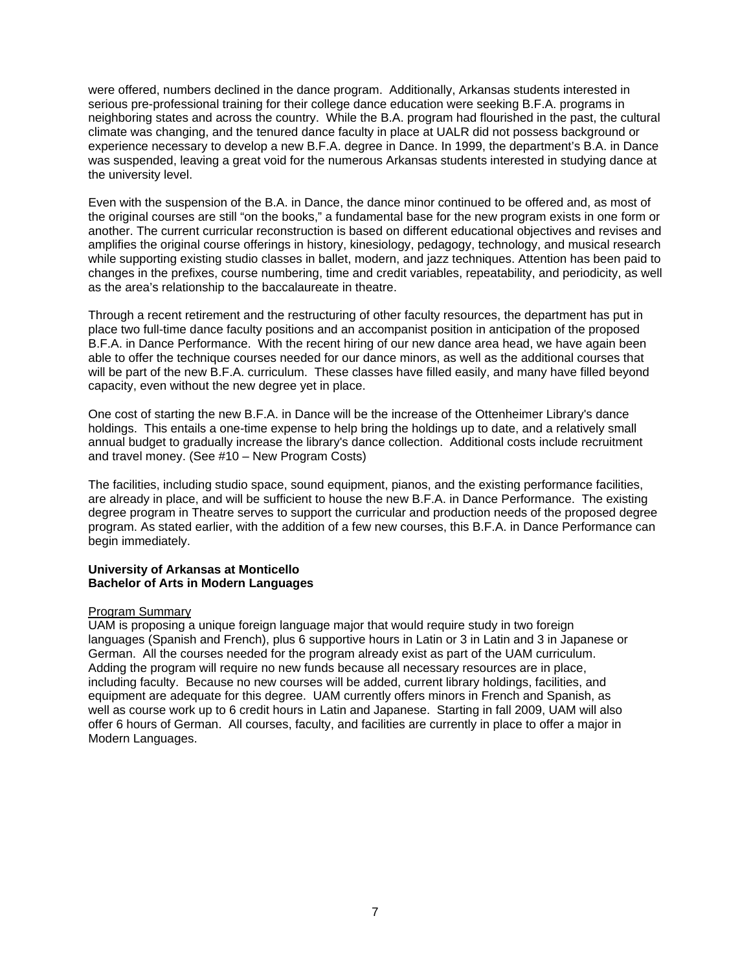were offered, numbers declined in the dance program. Additionally, Arkansas students interested in serious pre-professional training for their college dance education were seeking B.F.A. programs in neighboring states and across the country. While the B.A. program had flourished in the past, the cultural climate was changing, and the tenured dance faculty in place at UALR did not possess background or experience necessary to develop a new B.F.A. degree in Dance. In 1999, the department's B.A. in Dance was suspended, leaving a great void for the numerous Arkansas students interested in studying dance at the university level.

Even with the suspension of the B.A. in Dance, the dance minor continued to be offered and, as most of the original courses are still "on the books," a fundamental base for the new program exists in one form or another. The current curricular reconstruction is based on different educational objectives and revises and amplifies the original course offerings in history, kinesiology, pedagogy, technology, and musical research while supporting existing studio classes in ballet, modern, and jazz techniques. Attention has been paid to changes in the prefixes, course numbering, time and credit variables, repeatability, and periodicity, as well as the area's relationship to the baccalaureate in theatre.

Through a recent retirement and the restructuring of other faculty resources, the department has put in place two full-time dance faculty positions and an accompanist position in anticipation of the proposed B.F.A. in Dance Performance. With the recent hiring of our new dance area head, we have again been able to offer the technique courses needed for our dance minors, as well as the additional courses that will be part of the new B.F.A. curriculum. These classes have filled easily, and many have filled beyond capacity, even without the new degree yet in place.

One cost of starting the new B.F.A. in Dance will be the increase of the Ottenheimer Library's dance holdings. This entails a one-time expense to help bring the holdings up to date, and a relatively small annual budget to gradually increase the library's dance collection. Additional costs include recruitment and travel money. (See #10 – New Program Costs)

The facilities, including studio space, sound equipment, pianos, and the existing performance facilities, are already in place, and will be sufficient to house the new B.F.A. in Dance Performance. The existing degree program in Theatre serves to support the curricular and production needs of the proposed degree program. As stated earlier, with the addition of a few new courses, this B.F.A. in Dance Performance can begin immediately.

## **University of Arkansas at Monticello Bachelor of Arts in Modern Languages**

## Program Summary

UAM is proposing a unique foreign language major that would require study in two foreign languages (Spanish and French), plus 6 supportive hours in Latin or 3 in Latin and 3 in Japanese or German. All the courses needed for the program already exist as part of the UAM curriculum. Adding the program will require no new funds because all necessary resources are in place, including faculty. Because no new courses will be added, current library holdings, facilities, and equipment are adequate for this degree. UAM currently offers minors in French and Spanish, as well as course work up to 6 credit hours in Latin and Japanese. Starting in fall 2009, UAM will also offer 6 hours of German. All courses, faculty, and facilities are currently in place to offer a major in Modern Languages.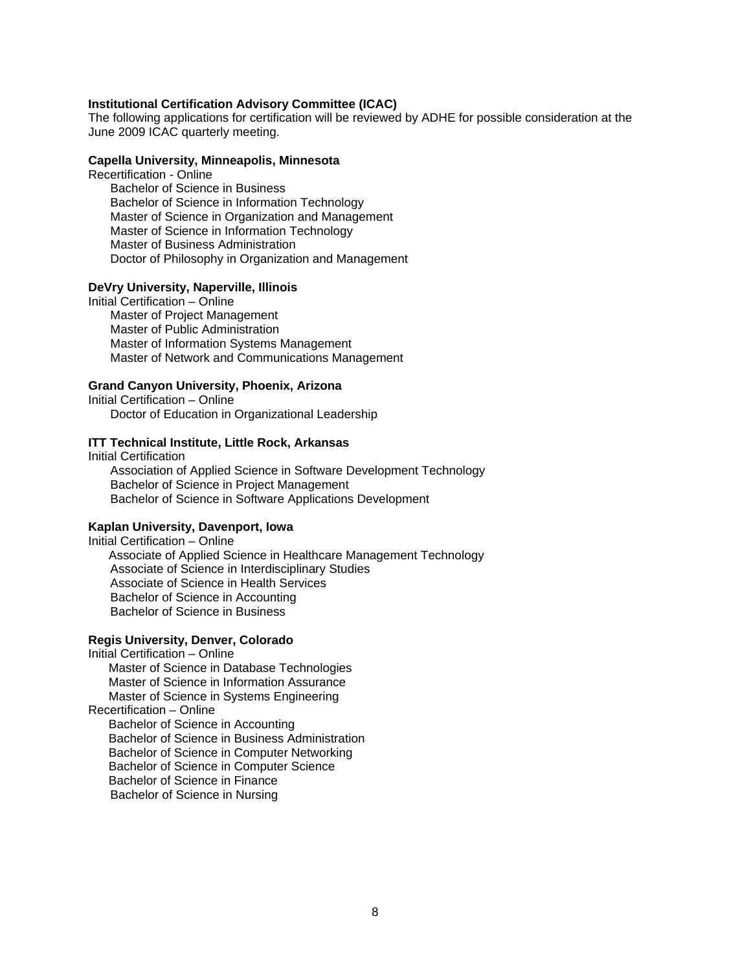### **Institutional Certification Advisory Committee (ICAC)**

The following applications for certification will be reviewed by ADHE for possible consideration at the June 2009 ICAC quarterly meeting.

#### **Capella University, Minneapolis, Minnesota**

Recertification - Online

 Bachelor of Science in Business Bachelor of Science in Information Technology Master of Science in Organization and Management Master of Science in Information Technology Master of Business Administration Doctor of Philosophy in Organization and Management

### **DeVry University, Naperville, Illinois**

Initial Certification – Online

 Master of Project Management Master of Public Administration Master of Information Systems Management Master of Network and Communications Management

# **Grand Canyon University, Phoenix, Arizona**

Initial Certification – Online Doctor of Education in Organizational Leadership

### **ITT Technical Institute, Little Rock, Arkansas**

Initial Certification Association of Applied Science in Software Development Technology Bachelor of Science in Project Management Bachelor of Science in Software Applications Development

#### **Kaplan University, Davenport, Iowa**

Initial Certification – Online Associate of Applied Science in Healthcare Management Technology Associate of Science in Interdisciplinary Studies Associate of Science in Health Services Bachelor of Science in Accounting Bachelor of Science in Business

#### **Regis University, Denver, Colorado**

Initial Certification – Online Master of Science in Database Technologies Master of Science in Information Assurance Master of Science in Systems Engineering Recertification – Online Bachelor of Science in Accounting Bachelor of Science in Business Administration Bachelor of Science in Computer Networking Bachelor of Science in Computer Science Bachelor of Science in Finance Bachelor of Science in Nursing